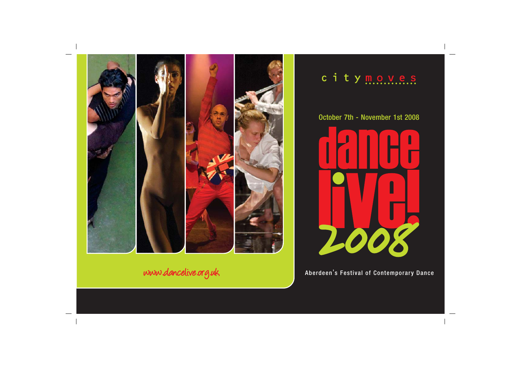

## c i t y moves

October 7th - November 1st 2008



www.dancelive.org.uk Aberdeen's Festival of Contemporary Dance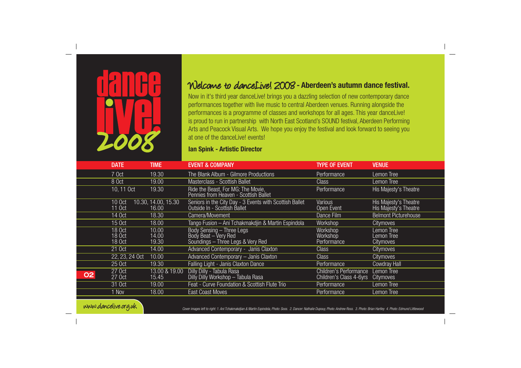

## Welcome to danceLive! 2008**- Aberdeen's autumn dance festival.**

Now in it's third year danceLive! brings you a dazzling selection of new contemporary dance performances together with live music to central Aberdeen venues. Running alongside the performances is a programme of classes and workshops for all ages. This year danceLive! is proud to run in partnership with North East Scotland's SOUND festival, Aberdeen Performing Arts and Peacock Visual Arts. We hope you enjoy the festival and look forward to seeing you at one of the dancel ivel events!

## **Ian Spink - Artistic Director**

|    | <b>DATE</b>                | <b>TIME</b>                  | <b>EVENT &amp; COMPANY</b>                                                              | <b>TYPE OF EVENT</b>                              | <b>VENUE</b>                                   |
|----|----------------------------|------------------------------|-----------------------------------------------------------------------------------------|---------------------------------------------------|------------------------------------------------|
|    | 7 Oct                      | 19.30                        | The Blank Album - Gilmore Productions                                                   | Performance                                       | Lemon Tree                                     |
|    | 8 Oct                      | 19.00                        | Masterclass - Scottish Ballet                                                           | <b>Class</b>                                      | Lemon Tree                                     |
|    | 10, 11 Oct                 | 19.30                        | Ride the Beast, For MG: The Movie,<br>Pennies from Heaven - Scottish Ballet             | Performance                                       | His Majesty's Theatre                          |
|    | 10 Oct<br>11 Oct           | 10.30, 14.00, 15.30<br>16.00 | Seniors in the City Day - 3 Events with Scottish Ballet<br>Outside In - Scottish Ballet | Various<br>Open Event                             | His Majesty's Theatre<br>His Majesty's Theatre |
|    | 14 Oct                     | 18.30                        | Camera/Movement                                                                         | Dance Film                                        | <b>Belmont Picturehouse</b>                    |
|    | 15 Oct                     | 18.00                        | Tango Fusion - Ani Tchakmakdjin & Martin Espindola                                      | Workshop                                          | <b>Citymoves</b>                               |
|    | 18 Oct<br>18 Oct<br>18 Oct | 10.00<br>14.00<br>19.30      | Body Sensing – Three Legs<br>Body Beat – Very Red<br>Soundings - Three Legs & Very Red  | Workshop<br>Workshop<br>Performance               | Lemon Tree<br>Lemon Tree<br><b>Citymoves</b>   |
|    | 21 Oct                     | 14.00                        | Advanced Contemporary - Janis Claxton                                                   | <b>Class</b>                                      | Citymoves                                      |
|    | 22, 23, 24 Oct             | 10.00                        | Advanced Contemporary - Janis Claxton                                                   | <b>Class</b>                                      | Citymoves                                      |
|    | 25 Oct                     | 19.30                        | <b>Falling Light - Janis Claxton Dance</b>                                              | Performance                                       | <b>Cowdray Hall</b>                            |
| 02 | 27 Oct<br>27 Oct           | 13.00 & 19.00<br>15.45       | Dilly Dilly - Tabula Rasa<br>Dilly Dilly Workshop - Tabula Rasa                         | Children's Performance<br>Children's Class 4-6yrs | Lemon Tree<br>Citymoves                        |
|    | 31 Oct                     | 19.00                        | Feat - Curve Foundation & Scottish Flute Trio                                           | Performance                                       | Lemon Tree                                     |
|    | 1 Nov                      | 18.00                        | <b>East Coast Moves</b>                                                                 | Performance                                       | Lemon Tree                                     |



Cover images left to right: 1. Ani Tchakmakdjian & Martin Espindola, Photo: Soos. 2. Dancer: Nathalie Dupouy, Photo: Andrew Ross. 3. Photo: Brian Hartley 4. Photo: Edmund Littlewood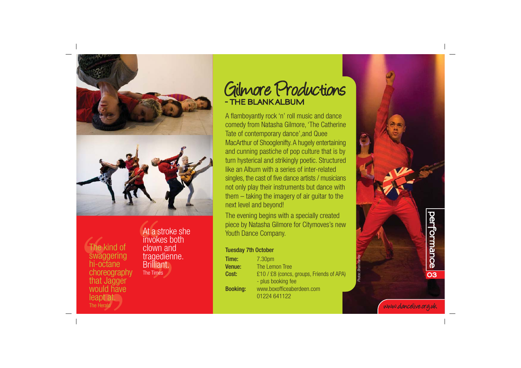

The kind of swaggering hi-octane choreography that Jagger would have leapt at. **The Heral** 

At a stroke she invokes both clown and tragedienne. Brilliant.

## Gilmore Productions **- THE BLANK ALBUM**

A flamboyantly rock 'n' roll music and dance comedy from Natasha Gilmore, 'The Catherine Tate of contemporary dance',and Quee MacArthur of Shooglenifty. A hugely entertaining and cunning pastiche of pop culture that is by turn hysterical and strikingly poetic. Structured like an Album with a series of inter-related singles, the cast of five dance artists / musicians not only play their instruments but dance with them – taking the imagery of air guitar to the next level and beyond!

The evening begins with a specially created piece by Natasha Gilmore for Citymoves's new Youth Dance Company.

### Tuesday 7th October

| tragedienne.<br>Brilliant. | Time: I<br>Venue: | 7.30pm<br>The Lemon Tree                                       |         | $\vec{R}$ |
|----------------------------|-------------------|----------------------------------------------------------------|---------|-----------|
| The Times                  | Cost:             | £10 / £8 (concs, groups, Friends of APA)<br>- plus booking fee | Photos: | ΟЗ        |
|                            | <b>Booking:</b>   | www.boxofficeaberdeen.com<br>01224 641122                      |         |           |

www.dancelive.org.uk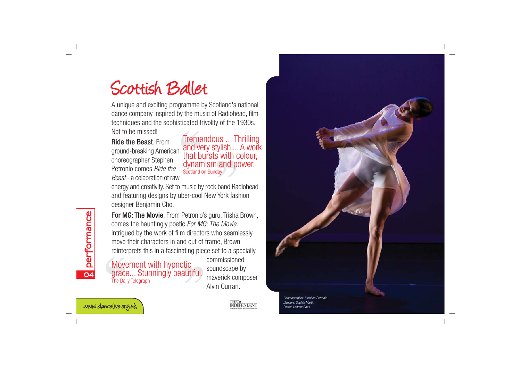## Scottish Ballet

A unique and exciting programme by Scotland's national dance company inspired by the music of Radiohead, film techniques and the sophisticated frivolity of the 1930s. Not to be missed!

Ride the Beast. From ground-breaking American choreographer Stephen Petronio comes Ride the Beast - a celebration of raw

Tremendous ... Thrilling and very stylish ... A work that bursts with colour, dynamism and power. Scotland on Sunday

energy and creativity. Set to music by rock band Radiohead and featuring designs by uber-cool New York fashion designer Benjamin Cho.

For MG: The Movie. From Petronio's guru, Trisha Brown, comes the hauntingly poetic For MG: The Movie. Intrigued by the work of film directors who seamlessly move their characters in and out of frame, Brown reinterprets this in a fascinating piece set to a specially

Movement with hypnotic grace... Stunningly beautiful. The Daily Telegraph

commissioned soundscape by maverick composer Alvin Curran.



**04**

**performance**

performance



Choreographer: Stephen Petronio. Dancers: Sophie Martin Photo: Andrew Ross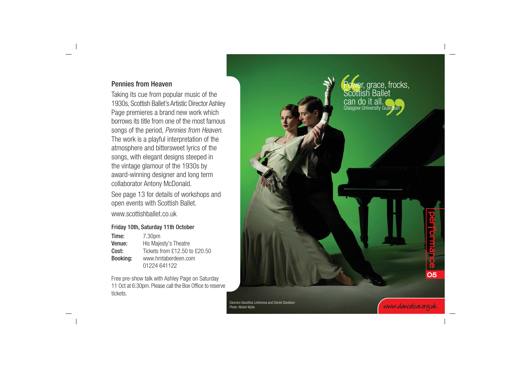## Pennies from Heaven

Taking its cue from popular music of the 1930s, Scottish Ballet's Artistic Director Ashley Page premieres a brand new work which borrows its title from one of the most famous songs of the period, Pennies from Heaven. The work is a playful interpretation of the atmosphere and bittersweet lyrics of the songs, with elegant designs steeped in the vintage glamour of the 1930s by award-winning designer and long term collaborator Antony McDonald.

See page 13 for details of workshops and open events with Scottish Ballet. www.scottishballet.co.uk

## Friday 10th, Saturday 11th October

| Time:    | 7.30pm                        |  |
|----------|-------------------------------|--|
| Venue:   | His Majesty's Theatre         |  |
| Cost:    | Tickets from £12.50 to £20.50 |  |
| Booking: | www.hmtaberdeen.com           |  |
|          | 01224 641122                  |  |

Free pre-show talk with Ashley Page on Saturday 11 Oct at 6:30pm. Please call the Box Office to reserve tickets.



Dancers:Vassillisa Levtonova and Daniel Davidson Photo: Nisbet Wylie.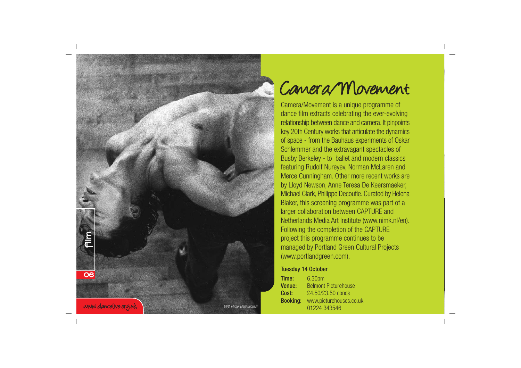

# Camera/Movement

Camera/Movement is a unique programme of dance film extracts celebrating the ever-evolving relationship between dance and camera. It pinpoints key 20th Century works that articulate the dynamics of space - from the Bauhaus experiments of Oskar Schlemmer and the extravagant spectacles of Busby Berkeley - to ballet and modern classics featuring Rudolf Nureyev, Norman McLaren and Merce Cunningham. Other more recent works are by Lloyd Newson, Anne Teresa De Keersmaeker, Michael Clark, Philippe Decoufle. Curated by Helena Blaker, this screening programme was part of a larger collaboration between CAPTURE and Netherlands Media Art Institute (www.nimk.nl/en). Following the completion of the CAPTURE project this programme continues to be managed by Portland Green Cultural Projects (www.portlandgreen.com).

### Tuesday 14 October

Time: 6.30pm Venue: Belmont Picturehouse **Cost:** £4.50/£3.50 concs Booking: www.picturehouses.co.uk 01224 343546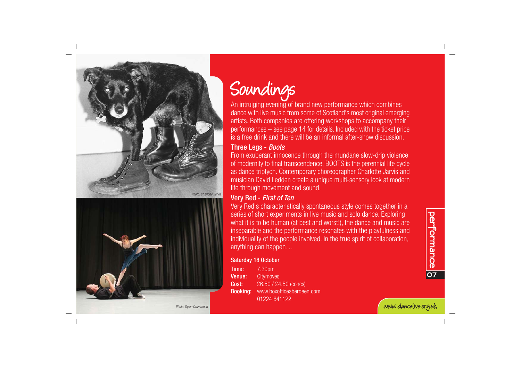



# Soundings

An intruiging evening of brand new performance which combines dance with live music from some of Scotland's most original emerging artists. Both companies are offering workshops to accompany their performances – see page 14 for details. Included with the ticket price is a free drink and there will be an informal after-show discussion.

## Three Legs - Boots

From exuberant innocence through the mundane slow-drip violence of modernity to final transcendence, BOOTS is the perennial life cycle as dance triptych. Contemporary choreographer Charlotte Jarvis and musician David Ledden create a unique multi-sensory look at modern life through movement and sound.

## Very Red - First of Ten

Very Red's characteristically spontaneous style comes together in a series of short experiments in live music and solo dance. Exploring what it is to be human (at best and worst!), the dance and music are inseparable and the performance resonates with the playfulness and individuality of the people involved. In the true spirit of collaboration, anything can happen…

## Saturday 18 October

**Time:** 7.30pm Venue: Citymoves Cost: £6.50 / £4.50 (concs) Booking: www.boxofficeaberdeen.com 01224 641122

www.dancelive.org.uk

Photo: Dylan Drummond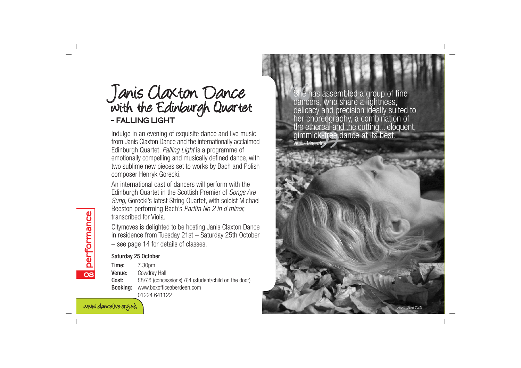# Janis Claxton Dance with the Edinburgh Quartet **- FALLING LIGHT**

Indulge in an evening of exquisite dance and live music from Janis Claxton Dance and the internationally acclaimed Edinburgh Quartet. Falling Light is a programme of emotionally compelling and musically defined dance, with two sublime new pieces set to works by Bach and Polish composer Henryk Gorecki.

An international cast of dancers will perform with the Edinburgh Quartet in the Scottish Premier of Songs Are Sung, Gorecki's latest String Quartet, with soloist Michael Beeston performing Bach's Partita No 2 in d minor, transcribed for Viola.

Citymoves is delighted to be hosting Janis Claxton Dance in residence from Tuesday 21st – Saturday 25th October – see page 14 for details of classes.

## Saturday 25 October

Time: 7.30pm Venue: Cowdray Hall Cost: £8/£6 (concessions) /£4 (student/child on the door) Booking: www.boxofficeaberdeen.com 01224 641122

She has assembled a group of fine dancers, who share a lightness, delicacy and precision ideally suited to her choreography, a combination of the ethereal and the cutting... eloquent,<br>gimmick-free dance at its best. Venue Magazine

Photo: David Costa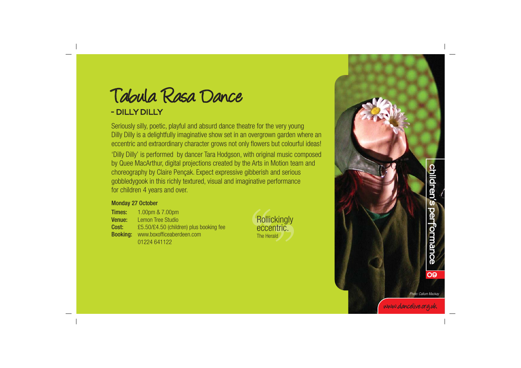Tabula Rasa Dance

## **- DILLY DILLY**

Seriously silly, poetic, playful and absurd dance theatre for the very young Dilly Dilly is a delightfully imaginative show set in an overgrown garden where an eccentric and extraordinary character grows not only flowers but colourful ideas! 'Dilly Dilly' is performed by dancer Tara Hodgson, with original music composed by Quee MacArthur, digital projections created by the Arts in Motion team and choreography by Claire Pençak. Expect expressive gibberish and serious gobbledygook in this richly textured, visual and imaginative performance for children 4 years and over.

### Monday 27 October

**Times:** 1.00pm & 7.00pm Venue: Lemon Tree Studio Cost: £5.50/£4.50 (children) plus booking fee Booking: www.boxofficeaberdeen.com 01224 641122





**children s performance** children's performance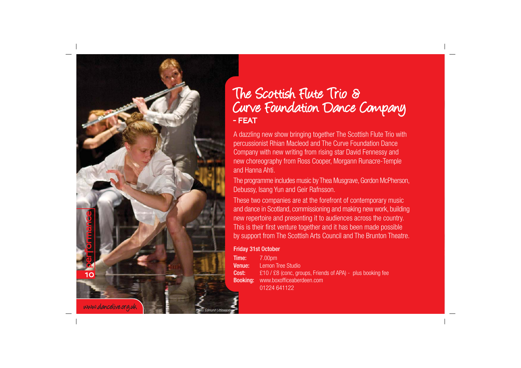

## The Scottish Flute Trio & Curve Foundation Dance Company **- FEAT**

A dazzling new show bringing together The Scottish Flute Trio with percussionist Rhian Macleod and The Curve Foundation Dance Company with new writing from rising star David Fennessy and new choreography from Ross Cooper, Morgann Runacre-Temple and Hanna Ahti.

The programme includes music by Thea Musgrave, Gordon McPherson, Debussy, Isang Yun and Geir Rafnsson.

These two companies are at the forefront of contemporary music and dance in Scotland, commissioning and making new work, building new repertoire and presenting it to audiences across the country. This is their first venture together and it has been made possible by support from The Scottish Arts Council and The Brunton Theatre.

## Friday 31st October

**Time:** 7.00pm Venue: Lemon Tree Studio Cost: £10 / £8 (conc, groups, Friends of APA) - plus booking fee Booking: www.boxofficeaberdeen.com 01224 641122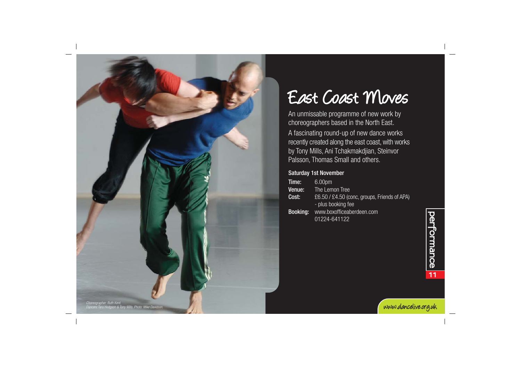

# East Coast Moves

An unmissable programme of new work by choreographers based in the North East. A fascinating round-up of new dance works recently created along the east coast, with works by Tony Mills, Ani Tchakmakdjian, Steinvor Palsson, Thomas Small and others.

## Saturday 1st November

| Time:           | 6.00 <sub>pm</sub>                           |
|-----------------|----------------------------------------------|
| Venue:          | The Lemon Tree                               |
| Cost:           | £6.50 / £4.50 (conc, groups, Friends of APA) |
|                 | - plus booking fee                           |
| <b>Booking:</b> | www.boxofficeaberdeen.com                    |
|                 | 01224-641122                                 |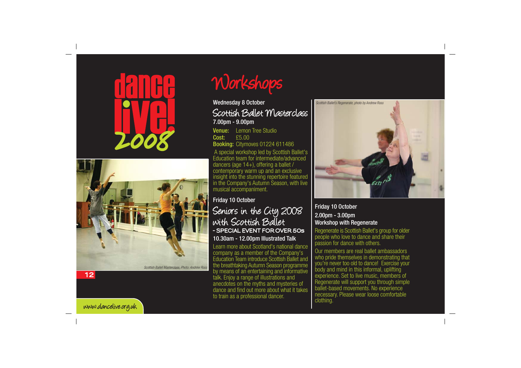



# Workshops

## Wednesday 8 October Scottish Ballet Masterclass

7.00pm - 9.00pm

Venue: Lemon Tree Studio Cost: £5.00 Booking: Citymoves 01224 611486 A special workshop led by Scottish Ballet's

Education team for intermediate/advanced dancers (age 14+), offering a ballet / contemporary warm up and an exclusive insight into the stunning repertoire featured in the Company's Autumn Season, with live musical accompaniment.

## Friday 10 October

## Seniors in the City 2008 with Scottish Ballet **- SPECIAL EVENT FOR OVER 50s** 10.30am - 12.00pm Illustrated Talk

Learn more about Scotland's national dance company as a member of the Company's Education Team introduce Scottish Ballet and the breathtaking Autumn Season programme by means of an entertaining and informative talk. Enjoy a range of illustrations and anecdotes on the myths and mysteries of dance and find out more about what it takes to train as a professional dancer.



Friday 10 October 2.00pm - 3.00pm Workshop with Regenerate

Regenerate is Scottish Ballet's group for older people who love to dance and share their passion for dance with others.

Our members are real ballet ambassadors who pride themselves in demonstrating that you're never too old to dance! Exercise your body and mind in this informal, uplifting experience. Set to live music, members of Regenerate will support you through simple ballet-based movements. No experience necessary. Please wear loose comfortable clothing.

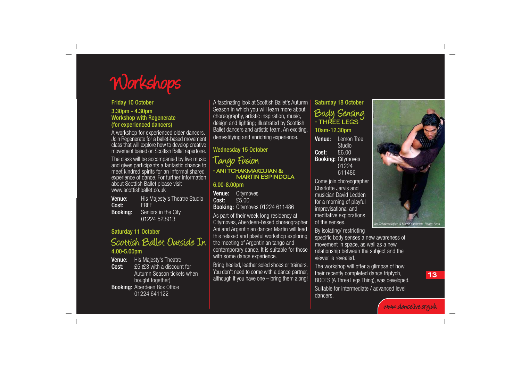

### Friday 10 October

#### 3.30pm - 4.30pm Workshop with Regenerate (for experienced dancers)

A workshop for experienced older dancers. Join Regenerate for a ballet-based movement class that will explore how to develop creative movement based on Scottish Ballet repertoire.

The class will be accompanied by live music and gives participants a fantastic chance to meet kindred spirits for an informal shared experience of dance. For further information about Scottish Ballet please visit www.scottishballet.co.uk

**Venue:** His Majesty's Theatre Studio Cost: FREE Booking: Seniors in the City 01224 523913

#### Saturday 11 October

Scottish Ballet Outside In 4.00-5.00pm

Venue: His Maiesty's Theatre Cost: £5 (£3 with a discount for Autumn Season tickets when bought together) Booking: Aberdeen Box Office 01224 641122

A fascinating look at Scottish Ballet's Autumn Season in which you will learn more about choreography, artistic inspiration, music, design and lighting; illustrated by Scottish Ballet dancers and artistic team. An exciting, demystifying and enriching experience.

## Wednesday 15 October

## Tango Fusion **- ANI TCHAKMAKDJIAN & MARTIN ESPINDOLA**

## 6.00-8.00pm

Venue: Citymoves Cost: £5.00 Booking: Citymoves 01224 611486

As part of their week long residency at Citymoves, Aberdeen-based choreographer Ani and Argentinian dancer Martin will lead this relaxed and playful workshop exploring the meeting of Argentinian tango and contemporary dance. It is suitable for those with some dance experience.

Bring heeled, leather soled shoes or trainers. You don't need to come with a dance partner, although if you have one – bring them along!

## Saturday 18 October Body Sensing **- THREE LEGS**

### 10am-12.30pm

Venue: Lemon Tree **Studio** Cost: £6.00 Booking: Citymoves 01224 611486

Come join choreographer Charlotte Jarvis and musician David Ledden for a morning of playful improvisational and meditative explorations of the senses.

By isolating/ restricting

specific body senses a new awareness of movement in space, as well as a new relationship between the subject and the viewer is revealed.

The workshop will offer a glimpse of how their recently completed dance triptych, BOOTS (A Three Legs Thing), was developed.

Suitable for intermediate / advanced level dancers.



**13**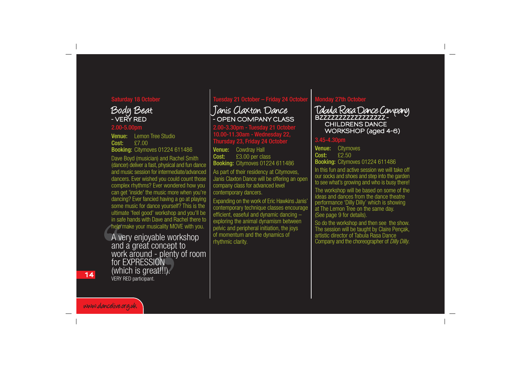### Saturday 18 October



#### 2.00-5.00pm

Venue: Lemon Tree Studio Cost: £7.00 Booking: Citymoves 01224 611486

Dave Boyd (musician) and Rachel Smith (dancer) deliver a fast, physical and fun dance and music session for intermediate/advanced dancers. Ever wished you could count those complex rhythms? Ever wondered how you can get 'inside' the music more when you're dancing? Ever fancied having a go at playing some music for dance yourself? This is the ultimate 'feel good' workshop and you'll be in safe hands with Dave and Rachel there to help make your musicality MOVE with you.

A very enjoyable workshop<br>and a great concept to work around - plenty of room<br>for EXPRESSION (which is great!!!). VERY RED participant.

### Tuesday 21 October – Friday 24 October

## Janis Claxton Dance **- OPEN COMPANY CLASS**

2.00-3.30pm - Tuesday 21 October 10.00-11.30am - Wednesday 22,  $R$  Thursday 23, Friday 24 Octobe

Venue: Cowdray Hall Cost: £3.00 per class Booking: Citymoves 01224 611486 As part of their residency at Citymoves, Janis Claxton Dance will be offering an open company class for advanced level contemporary dancers.

Expanding on the work of Eric Hawkins Janis' contemporary technique classes encourage efficient, easeful and dynamic dancing – exploring the animal dynamism between pelvic and peripheral initiation, the joys of momentum and the dynamics of rhythmic clarity.

### Monday 27th October

Tabula Rasa Dance Company **BZZZZZZZZZZZZZZZZZ - CHILDRENS DANCE WORKSHOP (aged 4-6)**

### 3.45-4.30pm

Venue: Citymoves Cost: £2.50 **Booking: Citymoves 01224 611486** 

In this fun and active session we will take off our socks and shoes and step into the garden to see what's growing and who is busy there!

The workshop will be based on some of the ideas and dances from the dance theatre performance 'Dilly Dilly' which is showing at The Lemon Tree on the same day. (See page 9 for details).

So do the workshop and then see the show. The session will be taught by Claire Pençak, artistic director of Tabula Rasa Dance Company and the choreographer of Dilly Dilly.

**14**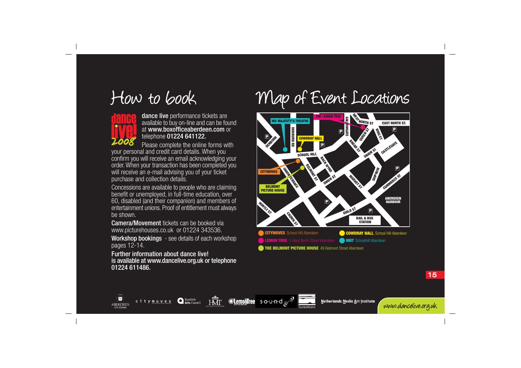



 $\overline{\mathbf{z}}$ 

ABERDEEN

## dance live performance tickets are available to buy on-line and can be found at www.boxofficeaberdeen.com or telephone 01224 641122.

Please complete the online forms with your personal and credit card details. When you confirm you will receive an email acknowledging your order. When your transaction has been completed you will receive an e-mail advising you of your ticket purchase and collection details.

Concessions are available to people who are claiming benefit or unemployed, in full-time education, over 60, disabled (and their companion) and members of entertainment unions. Proof of entitlement must always be shown.

Camera/Movement tickets can be booked via www.picturehouses.co.uk or 01224 343536.

Workshop bookings - see details of each workshop pages 12-14.

Further information about dance live! is available at www.dancelive.org.uk or telephone 01224 611486.

citymoves

**O** Scottish

# How to book Map of Event Locations



Netherlands Media Art Institute

**THE BELMONT PICTURE HOUSE** 49 Belmont Street Aberdeen

**Clementree** sound  $\mathbb{C}^{\mathbb{Z}}$